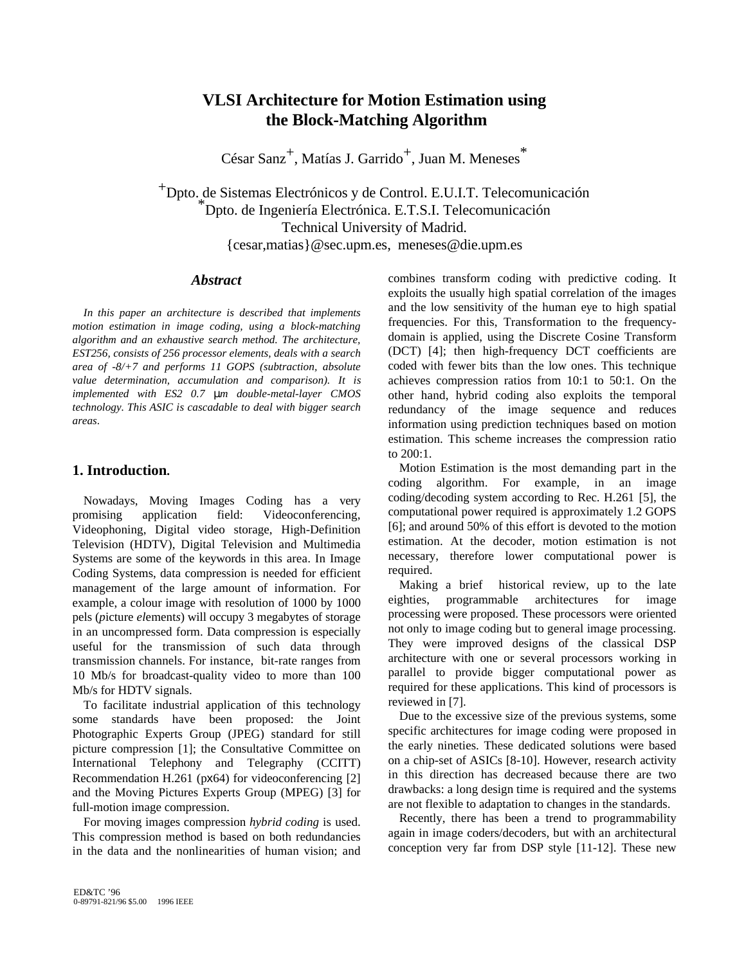# **VLSI Architecture for Motion Estimation using the Block-Matching Algorithm**

César Sanz<sup>+</sup>, Matías J. Garrido<sup>+</sup>, Juan M. Meneses<sup>\*</sup>

+Dpto. de Sistemas Electrónicos y de Control. E.U.I.T. Telecomunicación \* Dpto. de Ingeniería Electrónica. E.T.S.I. Telecomunicación Technical University of Madrid. {cesar,matias}@sec.upm.es, meneses@die.upm.es

#### *Abstract*

*In this paper an architecture is described that implements motion estimation in image coding, using a block-matching algorithm and an exhaustive search method. The architecture, EST256, consists of 256 processor elements, deals with a search area of -8/+7 and performs 11 GOPS (subtraction, absolute value determination, accumulation and comparison). It is implemented with ES2 0.7* µ*m double-metal-layer CMOS technology. This ASIC is cascadable to deal with bigger search areas*.

# **1. Introduction.**

Nowadays, Moving Images Coding has a very promising application field: Videoconferencing, Videophoning, Digital video storage, High-Definition Television (HDTV), Digital Television and Multimedia Systems are some of the keywords in this area. In Image Coding Systems, data compression is needed for efficient management of the large amount of information. For example, a colour image with resolution of 1000 by 1000 pels (*p*icture *el*ement*s*) will occupy 3 megabytes of storage in an uncompressed form. Data compression is especially useful for the transmission of such data through transmission channels. For instance, bit-rate ranges from 10 Mb/s for broadcast-quality video to more than 100 Mb/s for HDTV signals.

To facilitate industrial application of this technology some standards have been proposed: the Joint Photographic Experts Group (JPEG) standard for still picture compression [1]; the Consultative Committee on International Telephony and Telegraphy (CCITT) Recommendation H.261 (px64) for videoconferencing [2] and the Moving Pictures Experts Group (MPEG) [3] for full-motion image compression.

For moving images compression *hybrid coding* is used. This compression method is based on both redundancies in the data and the nonlinearities of human vision; and combines transform coding with predictive coding. It exploits the usually high spatial correlation of the images and the low sensitivity of the human eye to high spatial frequencies. For this, Transformation to the frequencydomain is applied, using the Discrete Cosine Transform (DCT) [4]; then high-frequency DCT coefficients are coded with fewer bits than the low ones. This technique achieves compression ratios from 10:1 to 50:1. On the other hand, hybrid coding also exploits the temporal redundancy of the image sequence and reduces information using prediction techniques based on motion estimation. This scheme increases the compression ratio to 200:1.

Motion Estimation is the most demanding part in the coding algorithm. For example, in an image coding/decoding system according to Rec. H.261 [5], the computational power required is approximately 1.2 GOPS [6]; and around 50% of this effort is devoted to the motion estimation. At the decoder, motion estimation is not necessary, therefore lower computational power is required.

Making a brief historical review, up to the late eighties, programmable architectures for image processing were proposed. These processors were oriented not only to image coding but to general image processing. They were improved designs of the classical DSP architecture with one or several processors working in parallel to provide bigger computational power as required for these applications. This kind of processors is reviewed in [7].

Due to the excessive size of the previous systems, some specific architectures for image coding were proposed in the early nineties. These dedicated solutions were based on a chip-set of ASICs [8-10]. However, research activity in this direction has decreased because there are two drawbacks: a long design time is required and the systems are not flexible to adaptation to changes in the standards.

Recently, there has been a trend to programmability again in image coders/decoders, but with an architectural conception very far from DSP style [11-12]. These new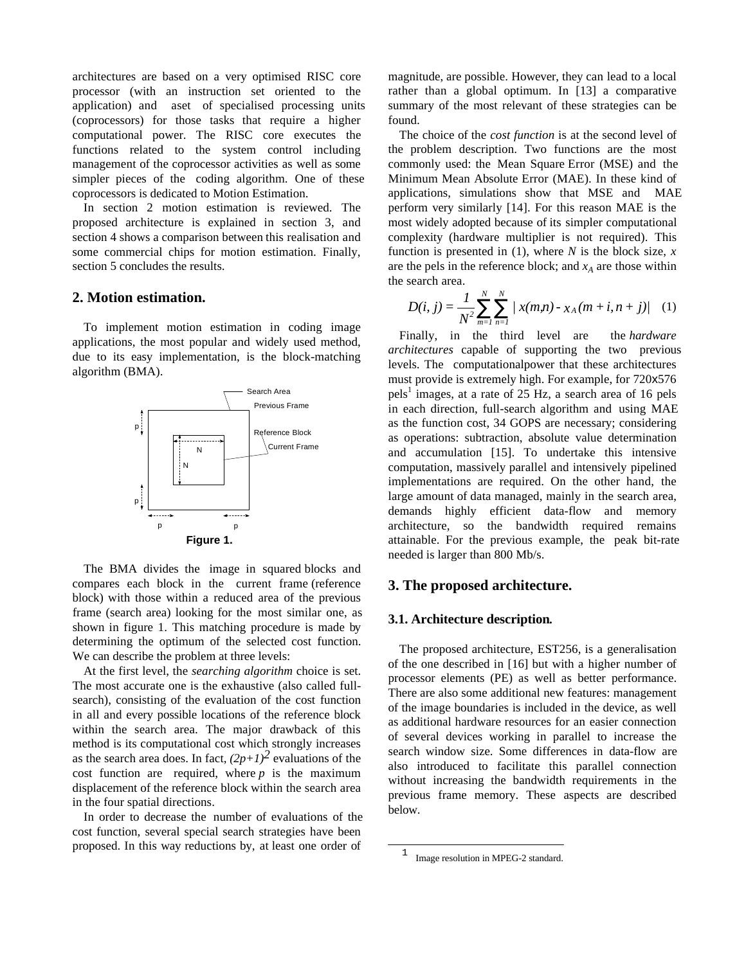architectures are based on a very optimised RISC core processor (with an instruction set oriented to the application) and a set of specialised processing units (coprocessors) for those tasks that require a higher computational power. The RISC core executes the functions related to the system control including management of the coprocessor activities as well as some simpler pieces of the coding algorithm. One of these coprocessors is dedicated to Motion Estimation.

In section 2 motion estimation is reviewed. The proposed architecture is explained in section 3, and section 4 shows a comparison between this realisation and some commercial chips for motion estimation. Finally, section 5 concludes the results.

# **2. Motion estimation.**

To implement motion estimation in coding image applications, the most popular and widely used method, due to its easy implementation, is the block-matching algorithm (BMA).



The BMA divides the image in squared blocks and compares each block in the current frame (reference block) with those within a reduced area of the previous frame (search area) looking for the most similar one, as shown in figure 1. This matching procedure is made by determining the optimum of the selected cost function. We can describe the problem at three levels:

At the first level, the *searching algorithm* choice is set. The most accurate one is the exhaustive (also called fullsearch), consisting of the evaluation of the cost function in all and every possible locations of the reference block within the search area. The major drawback of this method is its computational cost which strongly increases as the search area does. In fact,  $(2p+1)^2$  evaluations of the cost function are required, where *p* is the maximum displacement of the reference block within the search area in the four spatial directions.

In order to decrease the number of evaluations of the cost function, several special search strategies have been proposed. In this way reductions by, at least one order of magnitude, are possible. However, they can lead to a local rather than a global optimum. In [13] a comparative summary of the most relevant of these strategies can be found.

The choice of the *cost function* is at the second level of the problem description. Two functions are the most commonly used: the Mean Square Error (MSE) and the Minimum Mean Absolute Error (MAE). In these kind of applications, simulations show that MSE and MAE perform very similarly [14]. For this reason MAE is the most widely adopted because of its simpler computational complexity (hardware multiplier is not required). This function is presented in (1), where *N* is the block size, *x* are the pels in the reference block; and  $x_A$  are those within the search area.

$$
D(i, j) = \frac{1}{N^2} \sum_{m=1}^{N} \sum_{n=1}^{N} |x(m,n) - x_A(m+i, n+j)| \quad (1)
$$

Finally, in the third level are the *hardware architectures* capable of supporting the two previous levels. The computational power that these architectures must provide is extremely high. For example, for 720x576 pels<sup>1</sup> images, at a rate of 25 Hz, a search area of 16 pels in each direction, full-search algorithm and using MAE as the function cost, 34 GOPS are necessary; considering as operations: subtraction, absolute value determination and accumulation [15]. To undertake this intensive computation, massively parallel and intensively pipelined implementations are required. On the other hand, the large amount of data managed, mainly in the search area, demands highly efficient data-flow and memory architecture, so the bandwidth required remains attainable. For the previous example, the peak bit-rate needed is larger than 800 Mb/s.

#### **3. The proposed architecture.**

#### **3.1. Architecture description.**

The proposed architecture, EST256, is a generalisation of the one described in [16] but with a higher number of processor elements (PE) as well as better performance. There are also some additional new features: management of the image boundaries is included in the device, as well as additional hardware resources for an easier connection of several devices working in parallel to increase the search window size. Some differences in data-flow are also introduced to facilitate this parallel connection without increasing the bandwidth requirements in the previous frame memory. These aspects are described below.

<sup>&</sup>lt;sup>1</sup> Image resolution in MPEG-2 standard.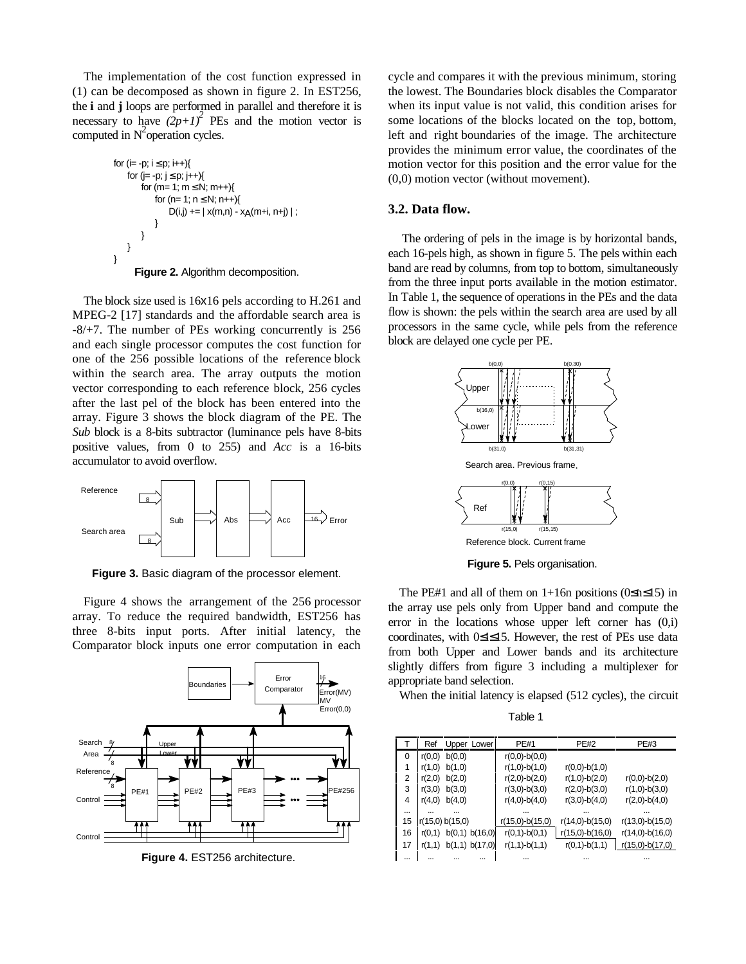The implementation of the cost function expressed in (1) can be decomposed as shown in figure 2. In EST256, the **i** and **j** loops are performed in parallel and therefore it is necessary to have  $(2p+1)^2$  PEs and the motion vector is computed in  $N^2$  operation cycles.

$$
\begin{array}{l} \text{for } (\text{ie} - \text{p};\, \text{i} \leq \text{p};\, \text{i} \!+\! \cdot)\{\text{for } (\text{je} - \text{p};\, \text{j} \leq \text{p};\, \text{j} \!+\! \cdot)\{\text{for } (m\!=\!1;\, m\!\leq\! N;\, m\!+\! \cdot)\{\text{for } (n\!=\!1;\, n\!\leq\! N;\, n\!+\! \cdot)\{\text{D(i,j)} \!+\!=\!\mid x(m,n)\!-\!x_A(m\!+\!i,n\!+\!j)\mid;\,\} \end{array}
$$
\n
$$
\}
$$
\nFigure 2. Algorithm decomposition.

The block size used is 16x16 pels according to H.261 and MPEG-2 [17] standards and the affordable search area is -8/+7. The number of PEs working concurrently is 256 and each single processor computes the cost function for one of the 256 possible locations of the reference block within the search area. The array outputs the motion vector corresponding to each reference block, 256 cycles after the last pel of the block has been entered into the array. Figure 3 shows the block diagram of the PE. The *Sub* block is a 8-bits subtractor (luminance pels have 8-bits positive values, from 0 to 255) and *Acc* is a 16-bits accumulator to avoid overflow.



**Figure 3.** Basic diagram of the processor element.

Figure 4 shows the arrangement of the 256 processor array. To reduce the required bandwidth, EST256 has three 8-bits input ports. After initial latency, the Comparator block inputs one error computation in each



**Figure 4.** EST256 architecture.

cycle and compares it with the previous minimum, storing the lowest. The Boundaries block disables the Comparator when its input value is not valid, this condition arises for some locations of the blocks located on the top, bottom, left and right boundaries of the image. The architecture provides the minimum error value, the coordinates of the motion vector for this position and the error value for the (0,0) motion vector (without movement).

#### **3.2. Data flow.**

The ordering of pels in the image is by horizontal bands, each 16-pels high, as shown in figure 5. The pels within each band are read by columns, from top to bottom, simultaneously from the three input ports available in the motion estimator. In Table 1, the sequence of operations in the PEs and the data flow is shown: the pels within the search area are used by all processors in the same cycle, while pels from the reference block are delayed one cycle per PE.



**Figure 5.** Pels organisation.

The PE#1 and all of them on 1+16n positions ( $0 \le n \le 15$ ) in the array use pels only from Upper band and compute the error in the locations whose upper left corner has (0,i) coordinates, with 0≤i≤15. However, the rest of PEs use data from both Upper and Lower bands and its architecture slightly differs from figure 3 including a multiplexer for appropriate band selection.

When the initial latency is elapsed (512 cycles), the circuit

Table 1

| Т        | Ref    | Upper Lower     | <b>PE#1</b>       | <b>PE#2</b>       | <b>PE#3</b>       |  |  |  |  |
|----------|--------|-----------------|-------------------|-------------------|-------------------|--|--|--|--|
| 0        | r(0,0) | b(0,0)          | $r(0,0)-b(0,0)$   |                   |                   |  |  |  |  |
| 1        | r(1,0) | b(1,0)          | $r(1,0)-b(1,0)$   | $r(0,0)-b(1,0)$   |                   |  |  |  |  |
| 2        | r(2,0) | b(2,0)          | $r(2,0)-b(2,0)$   | $r(1,0)-b(2,0)$   | $r(0,0)-b(2,0)$   |  |  |  |  |
| 3        | r(3,0) | b(3,0)          | $r(3,0)-b(3,0)$   | $r(2,0)-b(3,0)$   | $r(1,0)-b(3,0)$   |  |  |  |  |
| 4        | r(4,0) | b(4,0)          | $r(4,0)-b(4,0)$   | $r(3,0)-b(4,0)$   | $r(2,0)-b(4,0)$   |  |  |  |  |
|          |        |                 |                   |                   |                   |  |  |  |  |
| 15       |        | r(15,0) b(15,0) | $r(15,0)-b(15,0)$ | $r(14,0)-b(15,0)$ | $r(13,0)-b(15,0)$ |  |  |  |  |
| 16       | r(0,1) | b(0,1) b(16,0)  | $r(0,1)-b(0,1)$   | $r(15,0)-b(16,0)$ | $r(14,0)-b(16,0)$ |  |  |  |  |
| 17       | r(1,1) | b(1,1) b(17,0)  | $r(1,1)-b(1,1)$   | $r(0,1)-b(1,1)$   | $r(15,0)-b(17,0)$ |  |  |  |  |
| $\cdots$ |        |                 |                   |                   |                   |  |  |  |  |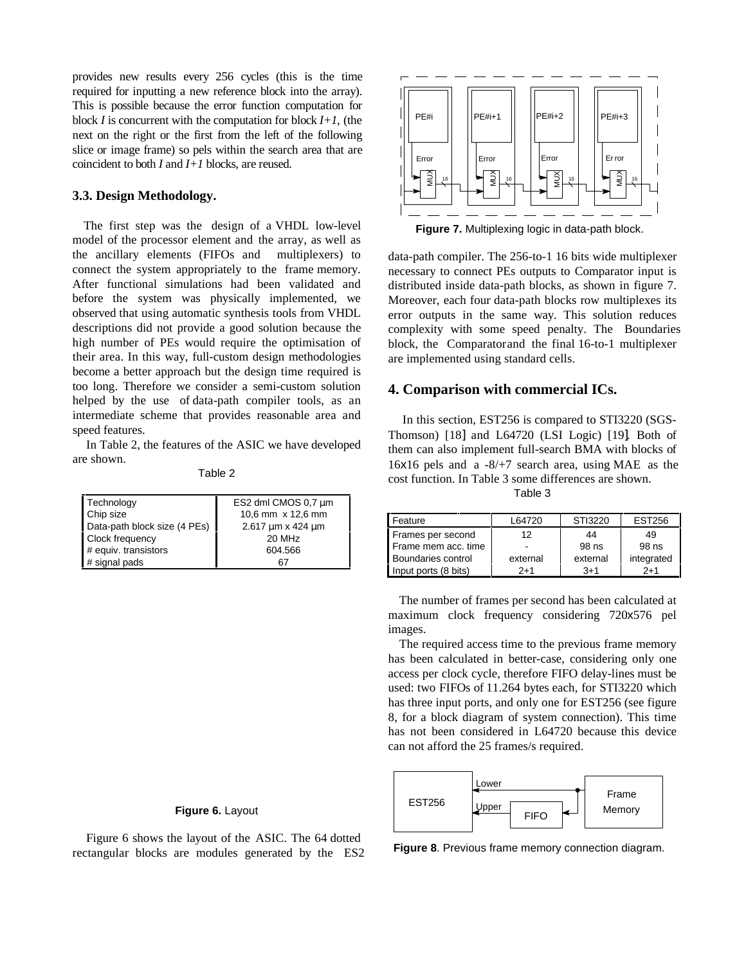provides new results every 256 cycles (this is the time required for inputting a new reference block into the array). This is possible because the error function computation for block  $I$  is concurrent with the computation for block  $I+I$ , (the next on the right or the first from the left of the following slice or image frame) so pels within the search area that are coincident to both *I* and *I+1* blocks*,* are reused.

#### **3.3. Design Methodology.**

The first step was the design of a VHDL low-level model of the processor element and the array, as well as the ancillary elements (FIFOs and multiplexers) to connect the system appropriately to the frame memory. After functional simulations had been validated and before the system was physically implemented, we observed that using automatic synthesis tools from VHDL descriptions did not provide a good solution because the high number of PEs would require the optimisation of their area. In this way, full-custom design methodologies become a better approach but the design time required is too long. Therefore we consider a semi-custom solution helped by the use of data-path compiler tools, as an intermediate scheme that provides reasonable area and speed features.

In Table 2, the features of the ASIC we have developed are shown.

Table 2

| Technology                   | ES2 dml CMOS 0,7 µm |  |  |  |  |  |
|------------------------------|---------------------|--|--|--|--|--|
| Chip size                    | 10.6 mm x 12.6 mm   |  |  |  |  |  |
| Data-path block size (4 PEs) | 2.617 um x 424 um   |  |  |  |  |  |
| <b>Clock frequency</b>       | 20 MHz              |  |  |  |  |  |
| # equiv. transistors         | 604.566             |  |  |  |  |  |
| # signal pads                | 67                  |  |  |  |  |  |

Figure 6 shows the layout of the ASIC. The 64 dotted rectangular blocks are modules generated by the ES2



**Figure 7.** Multiplexing logic in data-path block.

data-path compiler. The 256-to-1 16 bits wide multiplexer necessary to connect PEs outputs to Comparator input is distributed inside data-path blocks, as shown in figure 7. Moreover, each four data-path blocks row multiplexes its error outputs in the same way. This solution reduces complexity with some speed penalty. The Boundaries block, the Comparator and the final 16-to-1 multiplexer are implemented using standard cells.

#### **4. Comparison with commercial ICs.**

 In this section, EST256 is compared to STI3220 (SGS-Thomson) [18] and L64720 (LSI Logic) [19]. Both of them can also implement full-search BMA with blocks of 16x16 pels and a  $-8/+7$  search area, using MAE as the cost function. In Table 3 some differences are shown. Table 3

| Feature              | L64720   | STI3220  | <b>EST256</b> |  |  |
|----------------------|----------|----------|---------------|--|--|
| Frames per second    | 12       | 44       | 49            |  |  |
| Frame mem acc. time  |          | 98 ns    | 98 ns         |  |  |
| Boundaries control   | external | external | integrated    |  |  |
| Input ports (8 bits) | $2+1$    | $3 + 1$  | $2+1$         |  |  |

The number of frames per second has been calculated at maximum clock frequency considering 720x576 pel images.

The required access time to the previous frame memory has been calculated in better-case, considering only one access per clock cycle, therefore FIFO delay-lines must be used: two FIFOs of 11.264 bytes each, for STI3220 which has three input ports, and only one for EST256 (see figure 8, for a block diagram of system connection). This time has not been considered in L64720 because this device can not afford the 25 frames/s required.



**Figure 8**. Previous frame memory connection diagram.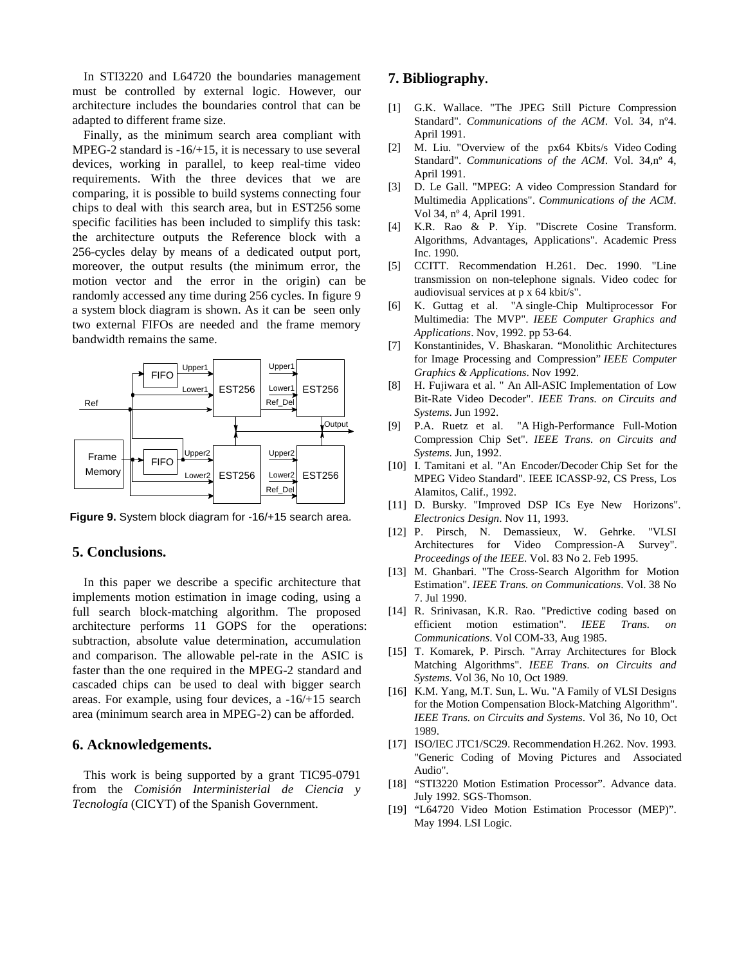In STI3220 and L64720 the boundaries management must be controlled by external logic. However, our architecture includes the boundaries control that can be adapted to different frame size.

Finally, as the minimum search area compliant with MPEG-2 standard is -16/+15, it is necessary to use several devices, working in parallel, to keep real-time video requirements. With the three devices that we are comparing, it is possible to build systems connecting four chips to deal with this search area, but in EST256 some specific facilities has been included to simplify this task: the architecture outputs the Reference block with a 256-cycles delay by means of a dedicated output port, moreover, the output results (the minimum error, the motion vector and the error in the origin) can be randomly accessed any time during 256 cycles. In figure 9 a system block diagram is shown. As it can be seen only two external FIFOs are needed and the frame memory bandwidth remains the same.



**Figure 9.** System block diagram for -16/+15 search area.

### **5. Conclusions.**

In this paper we describe a specific architecture that implements motion estimation in image coding, using a full search block-matching algorithm. The proposed architecture performs 11 GOPS for the operations: subtraction, absolute value determination, accumulation and comparison. The allowable pel-rate in the ASIC is faster than the one required in the MPEG-2 standard and cascaded chips can be used to deal with bigger search areas. For example, using four devices, a -16/+15 search area (minimum search area in MPEG-2) can be afforded.

#### **6. Acknowledgements.**

This work is being supported by a grant TIC95-0791 from the *Comisión Interministerial de Ciencia y Tecnología* (CICYT) of the Spanish Government.

### **7. Bibliography.**

- [1] G.K. Wallace. "The JPEG Still Picture Compression Standard". *Communications of the ACM*. Vol. 34, nº4. April 1991.
- [2] M. Liu. "Overview of the px64 Kbits/s Video Coding Standard". *Communications of the ACM*. Vol. 34,nº 4, April 1991.
- [3] D. Le Gall. "MPEG: A video Compression Standard for Multimedia Applications". *Communications of the ACM*. Vol 34, nº 4, April 1991.
- [4] K.R. Rao & P. Yip. "Discrete Cosine Transform. Algorithms, Advantages, Applications". Academic Press Inc. 1990.
- [5] CCITT. Recommendation H.261. Dec. 1990. "Line transmission on non-telephone signals. Video codec for audiovisual services at p x 64 kbit/s".
- [6] K. Guttag et al. "A single-Chip Multiprocessor For Multimedia: The MVP". *IEEE Computer Graphics and Applications*. Nov, 1992. pp 53-64.
- [7] Konstantinides, V. Bhaskaran. "Monolithic Architectures for Image Processing and Compression" *IEEE Computer Graphics & Applications*. Nov 1992.
- [8] H. Fujiwara et al. " An All-ASIC Implementation of Low Bit-Rate Video Decoder". *IEEE Trans. on Circuits and Systems*. Jun 1992.
- [9] P.A. Ruetz et al. "A High-Performance Full-Motion Compression Chip Set". *IEEE Trans. on Circuits and Systems*. Jun, 1992.
- [10] I. Tamitani et al. "An Encoder/Decoder Chip Set for the MPEG Video Standard". IEEE ICASSP-92, CS Press, Los Alamitos, Calif., 1992.
- [11] D. Bursky. "Improved DSP ICs Eye New Horizons". *Electronics Design*. Nov 11, 1993.
- [12] P. Pirsch, N. Demassieux, W. Gehrke. "VLSI Architectures for Video Compression-A Survey". *Proceedings of the IEEE*. Vol. 83 No 2. Feb 1995.
- [13] M. Ghanbari. "The Cross-Search Algorithm for Motion Estimation". *IEEE Trans. on Communications*. Vol. 38 No 7. Jul 1990.
- [14] R. Srinivasan, K.R. Rao. "Predictive coding based on efficient motion estimation". *IEEE Trans. on Communications*. Vol COM-33, Aug 1985.
- [15] T. Komarek, P. Pirsch. "Array Architectures for Block Matching Algorithms". *IEEE Trans. on Circuits and Systems*. Vol 36, No 10, Oct 1989.
- [16] K.M. Yang, M.T. Sun, L. Wu. "A Family of VLSI Designs for the Motion Compensation Block-Matching Algorithm". *IEEE Trans. on Circuits and Systems*. Vol 36, No 10, Oct 1989.
- [17] ISO/IEC JTC1/SC29. Recommendation H.262. Nov. 1993. "Generic Coding of Moving Pictures and Associated Audio".
- [18] "STI3220 Motion Estimation Processor". Advance data. July 1992. SGS-Thomson.
- [19] "L64720 Video Motion Estimation Processor (MEP)". May 1994. LSI Logic.